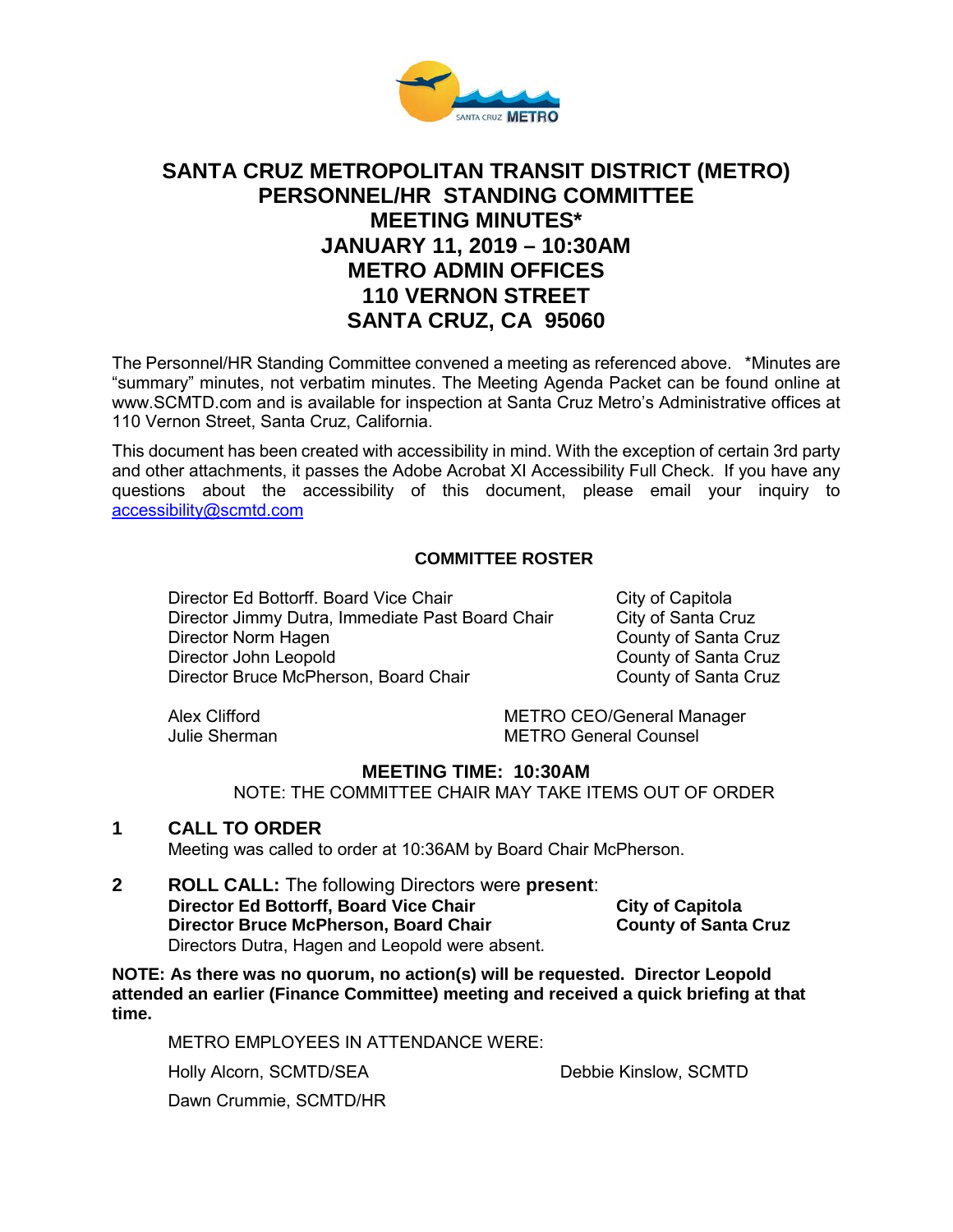

# **SANTA CRUZ METROPOLITAN TRANSIT DISTRICT (METRO) PERSONNEL/HR STANDING COMMITTEE MEETING MINUTES\* JANUARY 11, 2019 – 10:30AM METRO ADMIN OFFICES 110 VERNON STREET SANTA CRUZ, CA 95060**

The Personnel/HR Standing Committee convened a meeting as referenced above. \*Minutes are "summary" minutes, not verbatim minutes. The Meeting Agenda Packet can be found online at www.SCMTD.com and is available for inspection at Santa Cruz Metro's Administrative offices at 110 Vernon Street, Santa Cruz, California.

This document has been created with accessibility in mind. With the exception of certain 3rd party and other attachments, it passes the Adobe Acrobat XI Accessibility Full Check. If you have any questions about the accessibility of this document, please email your inquiry to [accessibility@scmtd.com](mailto:accessibility@scmtd.com)

### **COMMITTEE ROSTER**

Director Ed Bottorff. Board Vice Chair City of Capitola Director Jimmy Dutra, Immediate Past Board Chair City of Santa Cruz Director Norm Hagen County of Santa Cruz<br>
Director John Leopold County of Santa Cruz Director Bruce McPherson, Board Chair

County of Santa Cruz<br>County of Santa Cruz

Alex Clifford METRO CEO/General Manager Julie Sherman METRO General Counsel

## **MEETING TIME: 10:30AM**

NOTE: THE COMMITTEE CHAIR MAY TAKE ITEMS OUT OF ORDER

#### **1 CALL TO ORDER**

Meeting was called to order at 10:36AM by Board Chair McPherson.

**2 ROLL CALL:** The following Directors were **present**: **Director Ed Bottorff, Board Vice Chair** City of Capitola<br>
Director Bruce McPherson, Board Chair County of Santa Cruz **Director Bruce McPherson, Board Chair** Directors Dutra, Hagen and Leopold were absent.

**NOTE: As there was no quorum, no action(s) will be requested. Director Leopold attended an earlier (Finance Committee) meeting and received a quick briefing at that time.** 

METRO EMPLOYEES IN ATTENDANCE WERE:

Holly Alcorn, SCMTD/SEA

Debbie Kinslow, SCMTD

Dawn Crummie, SCMTD/HR